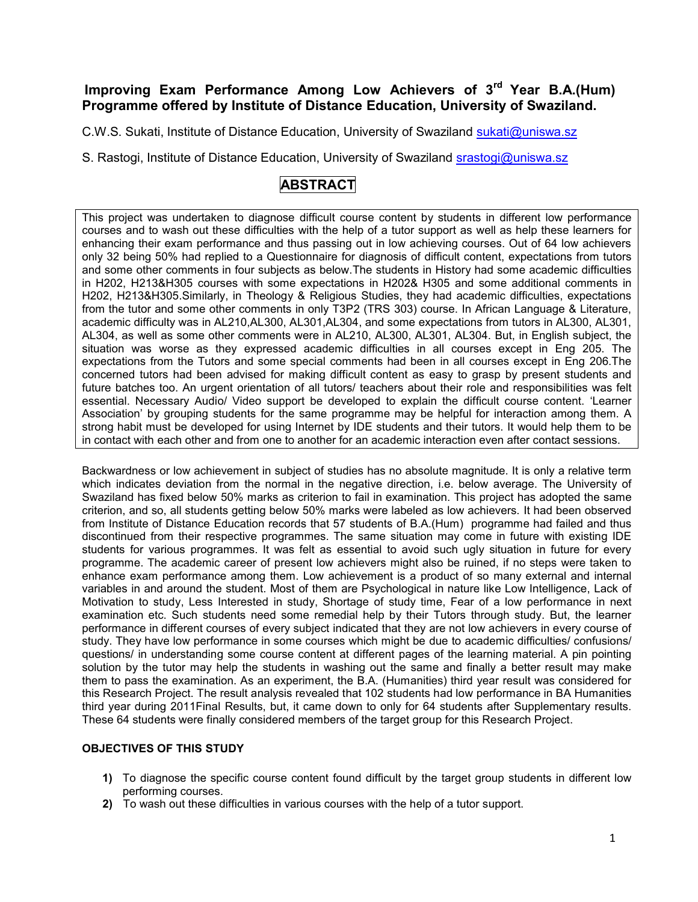# **Improving Exam Performance Among Low Achievers of 3rd Year B.A.(Hum) Programme offered by Institute of Distance Education, University of Swaziland.**

C.W.S. Sukati, Institute of Distance Education, University of Swaziland sukati@uniswa.sz

S. Rastogi, Institute of Distance Education, University of Swaziland srastogi@uniswa.sz

# **ABSTRACT**

This project was undertaken to diagnose difficult course content by students in different low performance courses and to wash out these difficulties with the help of a tutor support as well as help these learners for enhancing their exam performance and thus passing out in low achieving courses. Out of 64 low achievers only 32 being 50% had replied to a Questionnaire for diagnosis of difficult content, expectations from tutors and some other comments in four subjects as below.The students in History had some academic difficulties in H202, H213&H305 courses with some expectations in H202& H305 and some additional comments in H202, H213&H305.Similarly, in Theology & Religious Studies, they had academic difficulties, expectations from the tutor and some other comments in only T3P2 (TRS 303) course. In African Language & Literature, academic difficulty was in AL210,AL300, AL301,AL304, and some expectations from tutors in AL300, AL301, AL304, as well as some other comments were in AL210, AL300, AL301, AL304. But, in English subject, the situation was worse as they expressed academic difficulties in all courses except in Eng 205. The expectations from the Tutors and some special comments had been in all courses except in Eng 206.The concerned tutors had been advised for making difficult content as easy to grasp by present students and future batches too. An urgent orientation of all tutors/ teachers about their role and responsibilities was felt essential. Necessary Audio/ Video support be developed to explain the difficult course content. 'Learner Association' by grouping students for the same programme may be helpful for interaction among them. A strong habit must be developed for using Internet by IDE students and their tutors. It would help them to be in contact with each other and from one to another for an academic interaction even after contact sessions.

Backwardness or low achievement in subject of studies has no absolute magnitude. It is only a relative term which indicates deviation from the normal in the negative direction, i.e. below average. The University of Swaziland has fixed below 50% marks as criterion to fail in examination. This project has adopted the same criterion, and so, all students getting below 50% marks were labeled as low achievers. It had been observed from Institute of Distance Education records that 57 students of B.A.(Hum) programme had failed and thus discontinued from their respective programmes. The same situation may come in future with existing IDE students for various programmes. It was felt as essential to avoid such ugly situation in future for every programme. The academic career of present low achievers might also be ruined, if no steps were taken to enhance exam performance among them. Low achievement is a product of so many external and internal variables in and around the student. Most of them are Psychological in nature like Low Intelligence, Lack of Motivation to study, Less Interested in study, Shortage of study time, Fear of a low performance in next examination etc. Such students need some remedial help by their Tutors through study. But, the learner performance in different courses of every subject indicated that they are not low achievers in every course of study. They have low performance in some courses which might be due to academic difficulties/ confusions/ questions/ in understanding some course content at different pages of the learning material. A pin pointing solution by the tutor may help the students in washing out the same and finally a better result may make them to pass the examination. As an experiment, the B.A. (Humanities) third year result was considered for this Research Project. The result analysis revealed that 102 students had low performance in BA Humanities third year during 2011Final Results, but, it came down to only for 64 students after Supplementary results. These 64 students were finally considered members of the target group for this Research Project.

# **OBJECTIVES OF THIS STUDY**

- **1)** To diagnose the specific course content found difficult by the target group students in different low performing courses.
- **2)** To wash out these difficulties in various courses with the help of a tutor support.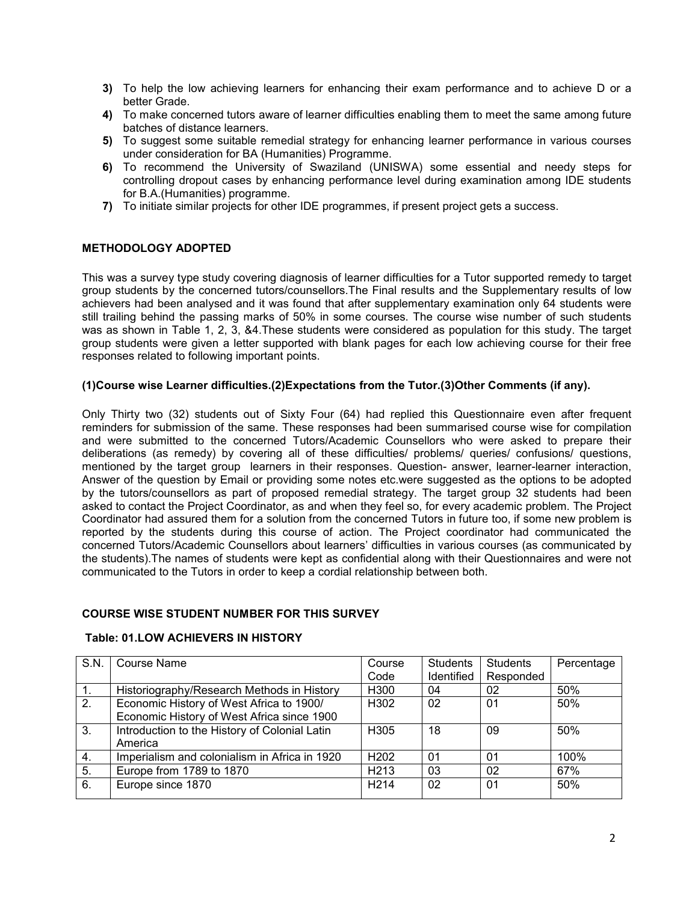- **3)** To help the low achieving learners for enhancing their exam performance and to achieve D or a better Grade.
- **4)** To make concerned tutors aware of learner difficulties enabling them to meet the same among future batches of distance learners.
- **5)** To suggest some suitable remedial strategy for enhancing learner performance in various courses under consideration for BA (Humanities) Programme.
- **6)** To recommend the University of Swaziland (UNISWA) some essential and needy steps for controlling dropout cases by enhancing performance level during examination among IDE students for B.A.(Humanities) programme.
- **7)** To initiate similar projects for other IDE programmes, if present project gets a success.

# **METHODOLOGY ADOPTED**

This was a survey type study covering diagnosis of learner difficulties for a Tutor supported remedy to target group students by the concerned tutors/counsellors.The Final results and the Supplementary results of low achievers had been analysed and it was found that after supplementary examination only 64 students were still trailing behind the passing marks of 50% in some courses. The course wise number of such students was as shown in Table 1, 2, 3, &4.These students were considered as population for this study. The target group students were given a letter supported with blank pages for each low achieving course for their free responses related to following important points.

### **(1)Course wise Learner difficulties.(2)Expectations from the Tutor.(3)Other Comments (if any).**

Only Thirty two (32) students out of Sixty Four (64) had replied this Questionnaire even after frequent reminders for submission of the same. These responses had been summarised course wise for compilation and were submitted to the concerned Tutors/Academic Counsellors who were asked to prepare their deliberations (as remedy) by covering all of these difficulties/ problems/ queries/ confusions/ questions, mentioned by the target group learners in their responses. Question- answer, learner-learner interaction, Answer of the question by Email or providing some notes etc.were suggested as the options to be adopted by the tutors/counsellors as part of proposed remedial strategy. The target group 32 students had been asked to contact the Project Coordinator, as and when they feel so, for every academic problem. The Project Coordinator had assured them for a solution from the concerned Tutors in future too, if some new problem is reported by the students during this course of action. The Project coordinator had communicated the concerned Tutors/Academic Counsellors about learners' difficulties in various courses (as communicated by the students).The names of students were kept as confidential along with their Questionnaires and were not communicated to the Tutors in order to keep a cordial relationship between both.

#### **COURSE WISE STUDENT NUMBER FOR THIS SURVEY**

#### **Table: 01.LOW ACHIEVERS IN HISTORY**

| S.N. | Course Name                                   | Course            | <b>Students</b> | <b>Students</b> | Percentage |
|------|-----------------------------------------------|-------------------|-----------------|-----------------|------------|
|      |                                               | Code              | Identified      | Responded       |            |
|      | Historiography/Research Methods in History    | H <sub>300</sub>  | 04              | 02              | 50%        |
| 2.   | Economic History of West Africa to 1900/      | H <sub>302</sub>  | 02              | 01              | 50%        |
|      | Economic History of West Africa since 1900    |                   |                 |                 |            |
| 3.   | Introduction to the History of Colonial Latin | H <sub>305</sub>  | 18              | 09              | 50%        |
|      | America                                       |                   |                 |                 |            |
| 4.   | Imperialism and colonialism in Africa in 1920 | H <sub>202</sub>  | 01              | 01              | 100%       |
| 5.   | Europe from 1789 to 1870                      | H <sub>2</sub> 13 | 03              | 02              | 67%        |
| 6.   | Europe since 1870                             | H <sub>2</sub> 14 | 02              | 01              | 50%        |
|      |                                               |                   |                 |                 |            |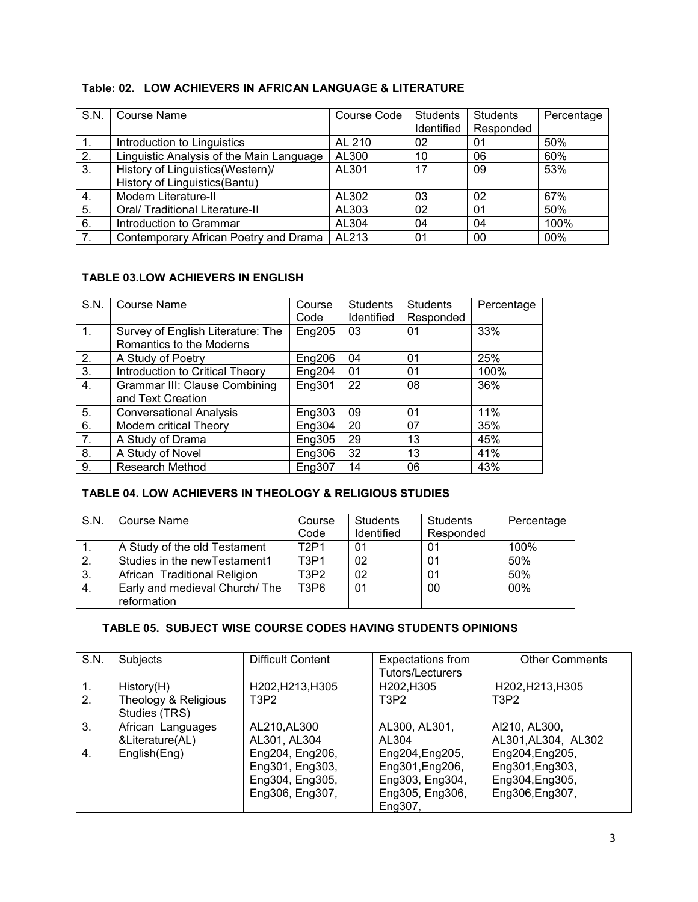# **Table: 02. LOW ACHIEVERS IN AFRICAN LANGUAGE & LITERATURE**

| S.N.           | Course Name                              | Course Code | Students   | <b>Students</b> | Percentage |
|----------------|------------------------------------------|-------------|------------|-----------------|------------|
|                |                                          |             | Identified | Responded       |            |
|                | Introduction to Linguistics              | AL 210      | 02         | 01              | 50%        |
| 2.             | Linguistic Analysis of the Main Language | AL300       | 10         | 06              | 60%        |
| 3.             | History of Linguistics(Western)/         | AL301       | 17         | 09              | 53%        |
|                | History of Linguistics (Bantu)           |             |            |                 |            |
| -4.            | Modern Literature-II                     | AL302       | 03         | 02              | 67%        |
| 5.             | Oral/ Traditional Literature-II          | AL303       | 02         | 01              | 50%        |
| 6.             | Introduction to Grammar                  | AL304       | 04         | 04              | 100%       |
| 7 <sub>1</sub> | Contemporary African Poetry and Drama    | AL213       | 01         | 00              | 00%        |

# **TABLE 03.LOW ACHIEVERS IN ENGLISH**

| S.N.           | <b>Course Name</b>                   | Course | <b>Students</b> | <b>Students</b> | Percentage |
|----------------|--------------------------------------|--------|-----------------|-----------------|------------|
|                |                                      | Code   | Identified      | Responded       |            |
| $\mathbf{1}$ . | Survey of English Literature: The    | Eng205 | 03              | 01              | 33%        |
|                | Romantics to the Moderns             |        |                 |                 |            |
| 2.             | A Study of Poetry                    | Eng206 | 04              | 01              | 25%        |
| 3.             | Introduction to Critical Theory      | Eng204 | 01              | 01              | 100%       |
| 4.             | <b>Grammar III: Clause Combining</b> | Eng301 | 22              | 08              | 36%        |
|                | and Text Creation                    |        |                 |                 |            |
| 5.             | <b>Conversational Analysis</b>       | Eng303 | 09              | 01              | 11%        |
| 6.             | Modern critical Theory               | Eng304 | 20              | 07              | 35%        |
| 7 <sub>1</sub> | A Study of Drama                     | Eng305 | 29              | 13              | 45%        |
| 8.             | A Study of Novel                     | Eng306 | 32              | 13              | 41%        |
| 9.             | <b>Research Method</b>               | Eng307 | 14              | 06              | 43%        |

# **TABLE 04. LOW ACHIEVERS IN THEOLOGY & RELIGIOUS STUDIES**

| S.N.         | Course Name                                  | Course                        | <b>Students</b> | <b>Students</b> | Percentage |
|--------------|----------------------------------------------|-------------------------------|-----------------|-----------------|------------|
|              |                                              | Code                          | Identified      | Responded       |            |
|              | A Study of the old Testament                 | T <sub>2</sub> P <sub>1</sub> | 01              | 01              | 100%       |
| $\mathbf{2}$ | Studies in the new Testament1                | T <sub>3</sub> P <sub>1</sub> | 02              | 01              | 50%        |
| 3.           | African Traditional Religion                 | T3P2                          | 02              | 01              | 50%        |
| 4.           | Early and medieval Church/The<br>reformation | T <sub>3</sub> P <sub>6</sub> | 01              | 00              | 00%        |

# **TABLE 05. SUBJECT WISE COURSE CODES HAVING STUDENTS OPINIONS**

| S.N. | Subjects             | Difficult Content | <b>Expectations from</b>      | <b>Other Comments</b> |
|------|----------------------|-------------------|-------------------------------|-----------------------|
|      |                      |                   | Tutors/Lecturers              |                       |
|      | History(H)           | H202, H213, H305  | H202, H305                    | H202, H213, H305      |
| 2.   | Theology & Religious | T3P2              | T <sub>3</sub> P <sub>2</sub> | T3P2                  |
|      | Studies (TRS)        |                   |                               |                       |
| 3.   | African Languages    | AL210, AL300      | AL300, AL301,                 | Al210, AL300,         |
|      | &Literature(AL)      | AL301, AL304      | AL304                         | AL301, AL304, AL302   |
| 4.   | English(Eng)         | Eng204, Eng206,   | Eng204, Eng205,               | Eng204, Eng205,       |
|      |                      | Eng301, Eng303,   | Eng301, Eng206,               | Eng301, Eng303,       |
|      |                      | Eng304, Eng305,   | Eng303, Eng304,               | Eng304, Eng305,       |
|      |                      | Eng306, Eng307,   | Eng305, Eng306,               | Eng306, Eng307,       |
|      |                      |                   | Eng307,                       |                       |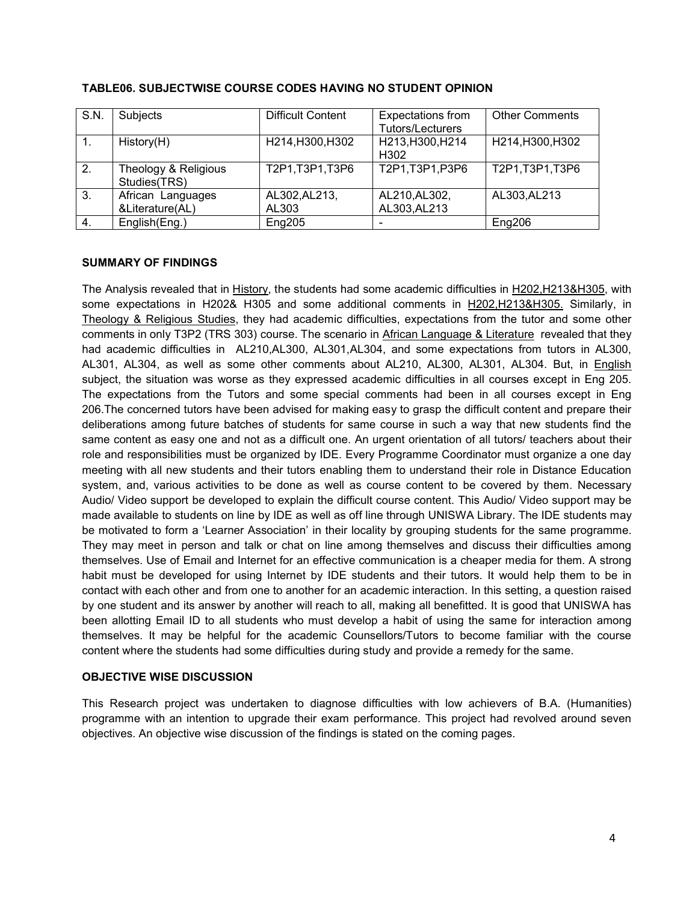| S.N.             | Subjects                             | <b>Difficult Content</b> | Expectations from<br>Tutors/Lecturers | <b>Other Comments</b> |
|------------------|--------------------------------------|--------------------------|---------------------------------------|-----------------------|
| $\mathbf{1}$ .   | History(H)                           | H214, H300, H302         | H213, H300, H214<br>H <sub>302</sub>  | H214, H300, H302      |
| $\overline{2}$ . | Theology & Religious<br>Studies(TRS) | T2P1, T3P1, T3P6         | T2P1, T3P1, P3P6                      | T2P1, T3P1, T3P6      |
| $\overline{3}$ . | African Languages                    | AL302, AL213,            | AL210, AL302,                         | AL303, AL213          |
|                  | &Literature(AL)                      | AL303                    | AL303, AL213                          |                       |
| 4.               | English(Eng.)                        | Eng205                   |                                       | Eng206                |

# **TABLE06. SUBJECTWISE COURSE CODES HAVING NO STUDENT OPINION**

### **SUMMARY OF FINDINGS**

The Analysis revealed that in History, the students had some academic difficulties in H202,H213&H305, with some expectations in H202& H305 and some additional comments in H202,H213&H305. Similarly, in Theology & Religious Studies, they had academic difficulties, expectations from the tutor and some other comments in only T3P2 (TRS 303) course. The scenario in African Language & Literature revealed that they had academic difficulties in AL210,AL300, AL301,AL304, and some expectations from tutors in AL300, AL301, AL304, as well as some other comments about AL210, AL300, AL301, AL304. But, in English subject, the situation was worse as they expressed academic difficulties in all courses except in Eng 205. The expectations from the Tutors and some special comments had been in all courses except in Eng 206.The concerned tutors have been advised for making easy to grasp the difficult content and prepare their deliberations among future batches of students for same course in such a way that new students find the same content as easy one and not as a difficult one. An urgent orientation of all tutors/ teachers about their role and responsibilities must be organized by IDE. Every Programme Coordinator must organize a one day meeting with all new students and their tutors enabling them to understand their role in Distance Education system, and, various activities to be done as well as course content to be covered by them. Necessary Audio/ Video support be developed to explain the difficult course content. This Audio/ Video support may be made available to students on line by IDE as well as off line through UNISWA Library. The IDE students may be motivated to form a 'Learner Association' in their locality by grouping students for the same programme. They may meet in person and talk or chat on line among themselves and discuss their difficulties among themselves. Use of Email and Internet for an effective communication is a cheaper media for them. A strong habit must be developed for using Internet by IDE students and their tutors. It would help them to be in contact with each other and from one to another for an academic interaction. In this setting, a question raised by one student and its answer by another will reach to all, making all benefitted. It is good that UNISWA has been allotting Email ID to all students who must develop a habit of using the same for interaction among themselves. It may be helpful for the academic Counsellors/Tutors to become familiar with the course content where the students had some difficulties during study and provide a remedy for the same.

#### **OBJECTIVE WISE DISCUSSION**

This Research project was undertaken to diagnose difficulties with low achievers of B.A. (Humanities) programme with an intention to upgrade their exam performance. This project had revolved around seven objectives. An objective wise discussion of the findings is stated on the coming pages.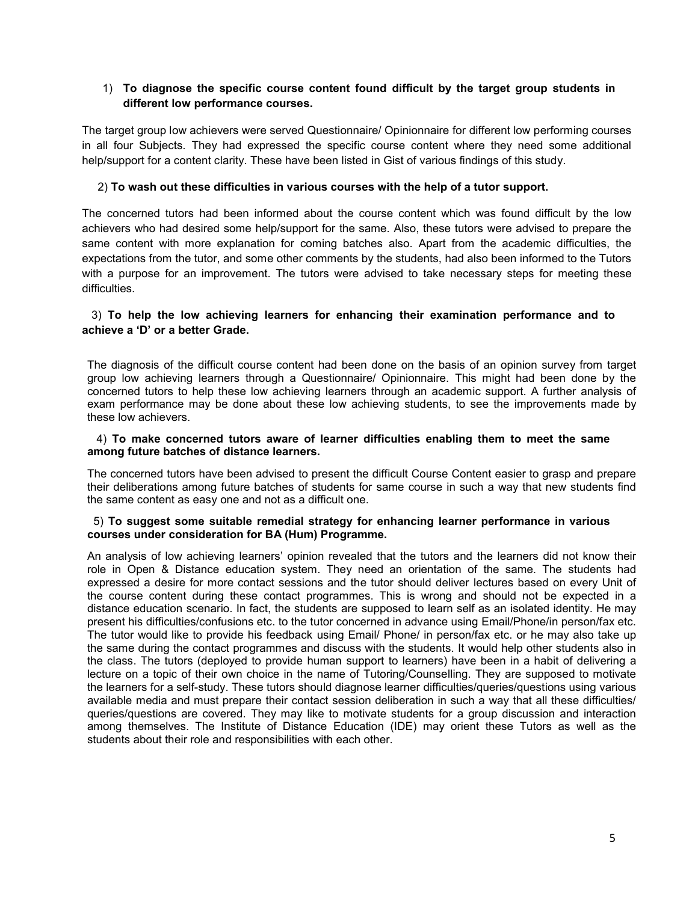# 1) **To diagnose the specific course content found difficult by the target group students in different low performance courses.**

The target group low achievers were served Questionnaire/ Opinionnaire for different low performing courses in all four Subjects. They had expressed the specific course content where they need some additional help/support for a content clarity. These have been listed in Gist of various findings of this study.

## 2) **To wash out these difficulties in various courses with the help of a tutor support.**

The concerned tutors had been informed about the course content which was found difficult by the low achievers who had desired some help/support for the same. Also, these tutors were advised to prepare the same content with more explanation for coming batches also. Apart from the academic difficulties, the expectations from the tutor, and some other comments by the students, had also been informed to the Tutors with a purpose for an improvement. The tutors were advised to take necessary steps for meeting these difficulties.

## 3) **To help the low achieving learners for enhancing their examination performance and to achieve a 'D' or a better Grade.**

The diagnosis of the difficult course content had been done on the basis of an opinion survey from target group low achieving learners through a Questionnaire/ Opinionnaire. This might had been done by the concerned tutors to help these low achieving learners through an academic support. A further analysis of exam performance may be done about these low achieving students, to see the improvements made by these low achievers.

#### 4) **To make concerned tutors aware of learner difficulties enabling them to meet the same among future batches of distance learners.**

The concerned tutors have been advised to present the difficult Course Content easier to grasp and prepare their deliberations among future batches of students for same course in such a way that new students find the same content as easy one and not as a difficult one.

#### 5) **To suggest some suitable remedial strategy for enhancing learner performance in various courses under consideration for BA (Hum) Programme.**

An analysis of low achieving learners' opinion revealed that the tutors and the learners did not know their role in Open & Distance education system. They need an orientation of the same. The students had expressed a desire for more contact sessions and the tutor should deliver lectures based on every Unit of the course content during these contact programmes. This is wrong and should not be expected in a distance education scenario. In fact, the students are supposed to learn self as an isolated identity. He may present his difficulties/confusions etc. to the tutor concerned in advance using Email/Phone/in person/fax etc. The tutor would like to provide his feedback using Email/ Phone/ in person/fax etc. or he may also take up the same during the contact programmes and discuss with the students. It would help other students also in the class. The tutors (deployed to provide human support to learners) have been in a habit of delivering a lecture on a topic of their own choice in the name of Tutoring/Counselling. They are supposed to motivate the learners for a self-study. These tutors should diagnose learner difficulties/queries/questions using various available media and must prepare their contact session deliberation in such a way that all these difficulties/ queries/questions are covered. They may like to motivate students for a group discussion and interaction among themselves. The Institute of Distance Education (IDE) may orient these Tutors as well as the students about their role and responsibilities with each other.